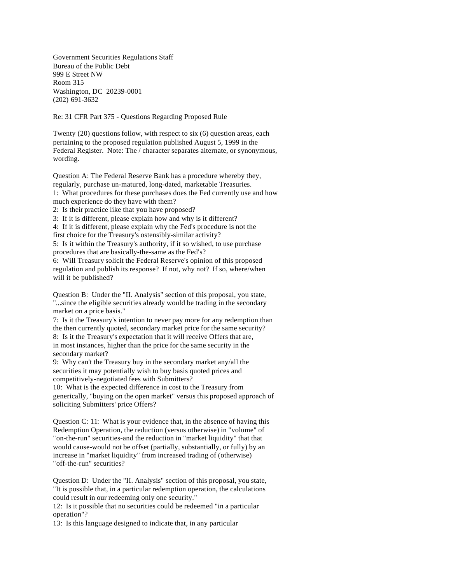Government Securities Regulations Staff Bureau of the Public Debt 999 E Street NW Room 315 Washington, DC 20239-0001 (202) 691-3632

Re: 31 CFR Part 375 - Questions Regarding Proposed Rule

Twenty (20) questions follow, with respect to six (6) question areas, each pertaining to the proposed regulation published August 5, 1999 in the Federal Register. Note: The / character separates alternate, or synonymous, wording.

Question A: The Federal Reserve Bank has a procedure whereby they, regularly, purchase un-matured, long-dated, marketable Treasuries. 1: What procedures for these purchases does the Fed currently use and how much experience do they have with them?

2: Is their practice like that you have proposed?

3: If it is different, please explain how and why is it different?

4: If it is different, please explain why the Fed's procedure is not the first choice for the Treasury's ostensibly-similar activity?

5: Is it within the Treasury's authority, if it so wished, to use purchase procedures that are basically-the-same as the Fed's?

6: Will Treasury solicit the Federal Reserve's opinion of this proposed regulation and publish its response? If not, why not? If so, where/when will it be published?

Question B: Under the "II. Analysis" section of this proposal, you state, "...since the eligible securities already would be trading in the secondary market on a price basis."

7: Is it the Treasury's intention to never pay more for any redemption than the then currently quoted, secondary market price for the same security? 8: Is it the Treasury's expectation that it will receive Offers that are, in most instances, higher than the price for the same security in the secondary market?

9: Why can't the Treasury buy in the secondary market any/all the securities it may potentially wish to buy basis quoted prices and competitively-negotiated fees with Submitters?

10: What is the expected difference in cost to the Treasury from generically, "buying on the open market" versus this proposed approach of soliciting Submitters' price Offers?

Question C: 11: What is your evidence that, in the absence of having this Redemption Operation, the reduction (versus otherwise) in "volume" of "on-the-run" securities-and the reduction in "market liquidity" that that would cause-would not be offset (partially, substantially, or fully) by an increase in "market liquidity" from increased trading of (otherwise) "off-the-run" securities?

Question D: Under the "II. Analysis" section of this proposal, you state, "It is possible that, in a particular redemption operation, the calculations could result in our redeeming only one security."

12: Is it possible that no securities could be redeemed "in a particular operation"?

13: Is this language designed to indicate that, in any particular